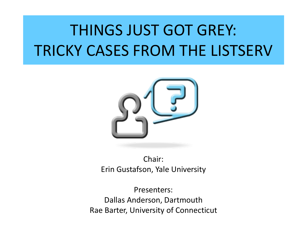# THINGS JUST GOT GREY: TRICKY CASES FROM THE LISTSERV



Chair: Erin Gustafson, Yale University

Presenters: Dallas Anderson, Dartmouth Rae Barter, University of Connecticut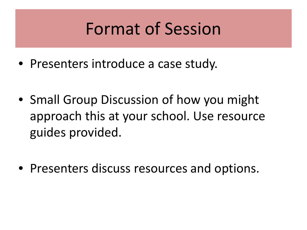# Format of Session

- Presenters introduce a case study.
- Small Group Discussion of how you might approach this at your school. Use resource guides provided.
- Presenters discuss resources and options.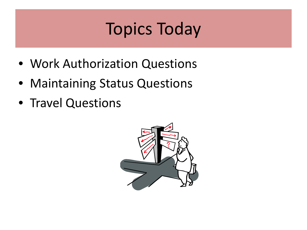# Topics Today

- Work Authorization Questions
- Maintaining Status Questions
- Travel Questions

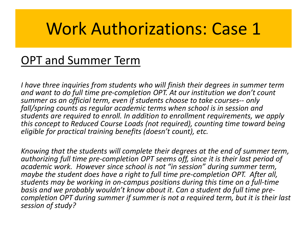# Work Authorizations: Case 1

### OPT and Summer Term

*I have three inquiries from students who will finish their degrees in summer term and want to do full time pre-completion OPT. At our institution we don't count summer as an official term, even if students choose to take courses-- only fall/spring counts as regular academic terms when school is in session and students are required to enroll. In addition to enrollment requirements, we apply this concept to Reduced Course Loads (not required), counting time toward being eligible for practical training benefits (doesn't count), etc.* 

*Knowing that the students will complete their degrees at the end of summer term, authorizing full time pre-completion OPT seems off, since it is their last period of academic work. However since school is not "in session" during summer term, maybe the student does have a right to full time pre-completion OPT. After all, students may be working in on-campus positions during this time on a full-time basis and we probably wouldn't know about it. Can a student do full time pre- completion OPT during summer if summer is not a required term, but it is their last session of study?*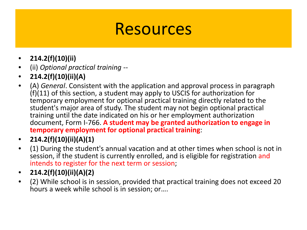- **214.2(f)(10)(ii)**
- (ii) *Optional practical training* --
- **214.2(f)(10)(ii)(A)**
- (A) *General*. Consistent with the application and approval process in paragraph (f)(11) of this section, a student may apply to USCIS for authorization for temporary employment for optional practical training directly related to the student's major area of study. The student may not begin optional practical training until the date indicated on his or her employment authorization document, Form I-766. **A student may be granted authorization to engage in temporary employment for optional practical training**:
- **214.2(f)(10)(ii)(A)(1)**
- (1) During the student's annual vacation and at other times when school is not in session, if the student is currently enrolled, and is eligible for registration and intends to register for the next term or session;
- **214.2(f)(10)(ii)(A)(2)**
- (2) While school is in session, provided that practical training does not exceed 20 hours a week while school is in session; or….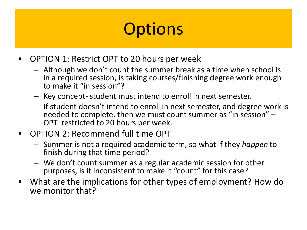- OPTION 1: Restrict OPT to 20 hours per week
	- Although we don't count the summer break as a time when school is in a required session, is taking courses/finishing degree work enough to make it "in session"?
	- Key concept- student must intend to enroll in next semester.
	- If student doesn't intend to enroll in next semester, and degree work is needed to complete, then we must count summer as "in session" – OPT restricted to 20 hours per week.
- OPTION 2: Recommend full time OPT
	- Summer is not a required academic term, so what if they *happen* to finish during that time period?
	- We don't count summer as a regular academic session for other purposes, is it inconsistent to make it "count" for this case?
- What are the implications for other types of employment? How do we monitor that?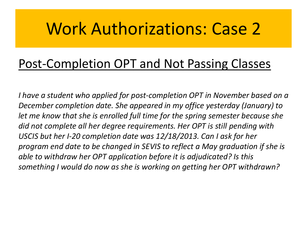# Work Authorizations: Case 2

### Post-Completion OPT and Not Passing Classes

*I have a student who applied for post-completion OPT in November based on a December completion date. She appeared in my office yesterday (January) to let me know that she is enrolled full time for the spring semester because she did not complete all her degree requirements. Her OPT is still pending with USCIS but her I-20 completion date was 12/18/2013. Can I ask for her program end date to be changed in SEVIS to reflect a May graduation if she is able to withdraw her OPT application before it is adjudicated? Is this something I would do now as she is working on getting her OPT withdrawn?*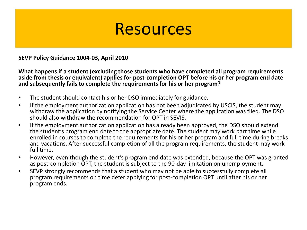**SEVP Policy Guidance 1004-03, April 2010**

**What happens if a student (excluding those students who have completed all program requirements aside from thesis or equivalent) applies for post-completion OPT before his or her program end date and subsequently fails to complete the requirements for his or her program?** 

- The student should contact his or her DSO immediately for guidance.
- If the employment authorization application has not been adjudicated by USCIS, the student may withdraw the application by notifying the Service Center where the application was filed. The DSO should also withdraw the recommendation for OPT in SEVIS.
- If the employment authorization application has already been approved, the DSO should extend the student's program end date to the appropriate date. The student may work part time while enrolled in courses to complete the requirements for his or her program and full time during breaks and vacations. After successful completion of all the program requirements, the student may work full time.
- However, even though the student's program end date was extended, because the OPT was granted as post-completion OPT, the student is subject to the 90-day limitation on unemployment.
- SEVP strongly recommends that a student who may not be able to successfully complete all program requirements on time defer applying for post-completion OPT until after his or her program ends.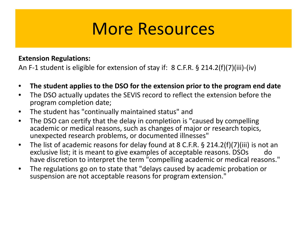## More Resources

#### **Extension Regulations:**

An F-1 student is eligible for extension of stay if: 8 C.F.R. § 214.2(f)(7)(iii)-(iv)

- **The student applies to the DSO for the extension prior to the program end date**
- The DSO actually updates the SEVIS record to reflect the extension before the program completion date;
- The student has "continually maintained status" and
- The DSO can certify that the delay in completion is "caused by compelling academic or medical reasons, such as changes of major or research topics, unexpected research problems, or documented illnesses"
- The list of academic reasons for delay found at 8 C.F.R. § 214.2(f)(7)(iii) is not an exclusive list; it is meant to give examples of acceptable reasons. DSOs do have discretion to interpret the term "compelling academic or medical reasons."
- The regulations go on to state that "delays caused by academic probation or suspension are not acceptable reasons for program extension."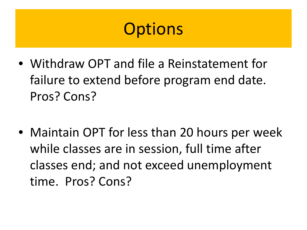- Withdraw OPT and file a Reinstatement for failure to extend before program end date. Pros? Cons?
- Maintain OPT for less than 20 hours per week while classes are in session, full time after classes end; and not exceed unemployment time. Pros? Cons?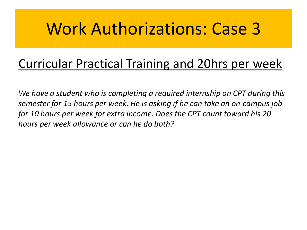# Work Authorizations: Case 3

### Curricular Practical Training and 20hrs per week

*We have a student who is completing a required internship on CPT during this semester for 15 hours per week. He is asking if he can take an on-campus job for 10 hours per week for extra income. Does the CPT count toward his 20 hours per week allowance or can he do both?*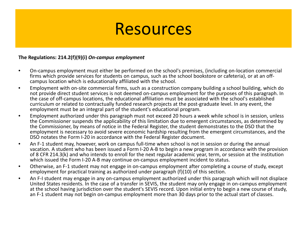#### **The Regulations: 214.2(f)(9)(i)** *On-campus employment*

- On-campus employment must either be performed on the school's premises, (including on-location commercial firms which provide services for students on campus, such as the school bookstore or cafeteria), or at an off- campus location which is educationally affiliated with the school.
- Employment with on-site commercial firms, such as a construction company building a school building, which do not provide direct student services is not deemed on-campus employment for the purposes of this paragraph. In the case of off-campus locations, the educational affiliation must be associated with the school's established curriculum or related to contractually funded research projects at the post-graduate level. In any event, the employment must be an integral part of the student's educational program.
- Employment authorized under this paragraph must not exceed 20 hours a week while school is in session, unless the Commissioner suspends the applicability of this limitation due to emergent circumstances, as determined by the Commissioner, by means of notice in the Federal Register, the student demonstrates to the DSO that the employment is necessary to avoid severe economic hardship resulting from the emergent circumstances, and the DSO notates the Form I-20 in accordance with the Federal Register document.
- An F-1 student may, however, work on campus full-time when school is not in session or during the annual vacation. A student who has been issued a Form I-20 A-B to begin a new program in accordance with the provision of 8 CFR 214.3(k) and who intends to enroll for the next regular academic year, term, or session at the institution which issued the Form I-20 A-B may continue on-campus employment incident to status.
- Otherwise, an F-1 student may not engage in on-campus employment after completing a course of study, except employment for practical training as authorized under paragraph (f)(10) of this section.
- An F-I student may engage in any on-campus employment authorized under this paragraph which will not displace United States residents. In the case of a transfer in SEVIS, the student may only engage in on-campus employment at the school having jurisdiction over the student's SEVIS record. Upon initial entry to begin a new course of study, an F-1 student may not begin on-campus employment more than 30 days prior to the actual start of classes.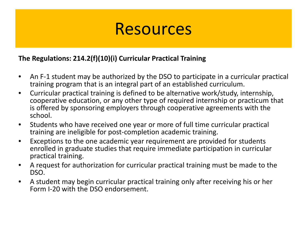#### **The Regulations: 214.2(f)(10)(i) Curricular Practical Training**

- An F-1 student may be authorized by the DSO to participate in a curricular practical training program that is an integral part of an established curriculum.
- Curricular practical training is defined to be alternative work/study, internship, cooperative education, or any other type of required internship or practicum that is offered by sponsoring employers through cooperative agreements with the school.
- Students who have received one year or more of full time curricular practical training are ineligible for post-completion academic training.
- Exceptions to the one academic year requirement are provided for students enrolled in graduate studies that require immediate participation in curricular practical training.
- A request for authorization for curricular practical training must be made to the DSO.
- A student may begin curricular practical training only after receiving his or her Form I-20 with the DSO endorsement.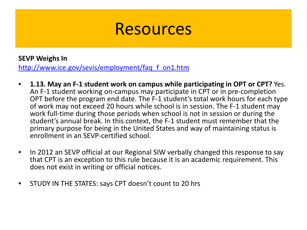#### **SEVP Weighs In**

[http://www.ice.gov/sevis/employment/faq\\_f\\_on1.htm](http://www.ice.gov/sevis/employment/faq_f_on1.htm)

- **1.13. May an F-1 student work on campus while participating in OPT or CPT?** Yes. An F-1 student working on-campus may participate in CPT or in pre-completion OPT before the program end date. The F-1 student's total work hours for each type of work may not exceed 20 hours while school is in session. The F-1 student may work full-time during those periods when school is not in session or during the student's annual break. In this context, the F-1 student must remember that the primary purpose for being in the United States and way of maintaining status is enrollment in an SEVP-certified school.
- In 2012 an SEVP official at our Regional SIW verbally changed this response to say that CPT is an exception to this rule because it is an academic requirement. This does not exist in writing or official notices.
- STUDY IN THE STATES: says CPT doesn't count to 20 hrs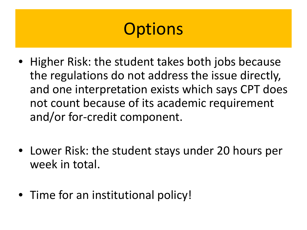- Higher Risk: the student takes both jobs because the regulations do not address the issue directly, and one interpretation exists which says CPT does not count because of its academic requirement and/or for-credit component.
- Lower Risk: the student stays under 20 hours per week in total.
- Time for an institutional policy!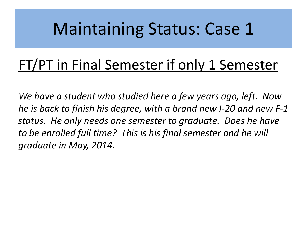# Maintaining Status: Case 1

## FT/PT in Final Semester if only 1 Semester

*We have a student who studied here a few years ago, left. Now he is back to finish his degree, with a brand new I-20 and new F-1 status. He only needs one semester to graduate. Does he have to be enrolled full time? This is his final semester and he will graduate in May, 2014.*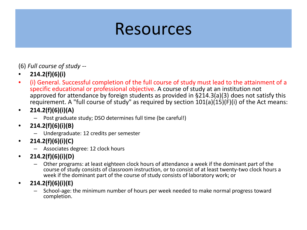(6) *Full course of study* --

- **214.2(f)(6)(i)**
- (i) General. Successful completion of the full course of study must lead to the attainment of a specific educational or professional objective. A course of study at an institution not approved for attendance by foreign students as provided in §214.3(a)(3) does not satisfy this requirement. A "full course of study" as required by section 101(a)(15)(F)(i) of the Act means:
- **214.2(f)(6)(i)(A)**
	- Post graduate study; DSO determines full time (be careful!)
- **214.2(f)(6)(i)(B)**
	- Undergraduate: 12 credits per semester
- **214.2(f)(6)(i)(C)**
	- Associates degree: 12 clock hours
- **214.2(f)(6)(i)(D)**
	- Other programs: at least eighteen clock hours of attendance a week if the dominant part of the course of study consists of classroom instruction, or to consist of at least twenty-two clock hours a week if the dominant part of the course of study consists of laboratory work; or
- **214.2(f)(6)(i)(E)**
	- School-age: the minimum number of hours per week needed to make normal progress toward completion.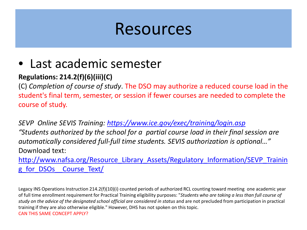### • Last academic semester

#### **Regulations: 214.2(f)(6)(iii)(C)**

(C) *Completion of course of study*. The DSO may authorize a reduced course load in the student's final term, semester, or session if fewer courses are needed to complete the course of study.

*SEVP Online SEVIS Training:<https://www.ice.gov/exec/training/login.asp> "Students authorized by the school for a partial course load in their final session are automatically considered full-full time students. SEVIS authorization is optional…"* Download text:

http://www.nafsa.org/Resource Library Assets/Regulatory Information/SEVP Trainin g\_for\_DSOs \_Course\_Text/

Legacy INS Operations Instruction 214.2(f)(10)(i) counted periods of authorized RCL counting toward meeting one academic year of full time enrollment requirement for Practical Training eligibility purposes: "*Students who are taking a less than full course of*  study on the advice of the designated school official are considered in status and are not precluded from participation in practical training if they are also otherwise eligible." However, DHS has not spoken on this topic. CAN THIS SAME CONCEPT APPLY?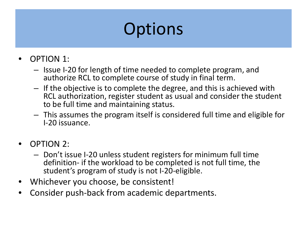- OPTION 1:
	- Issue I-20 for length of time needed to complete program, and authorize RCL to complete course of study in final term.
	- If the objective is to complete the degree, and this is achieved with RCL authorization, register student as usual and consider the student to be full time and maintaining status.
	- This assumes the program itself is considered full time and eligible for I-20 issuance.
- OPTION 2:
	- Don't issue I-20 unless student registers for minimum full time definition- if the workload to be completed is not full time, the student's program of study is not I-20-eligible.
- Whichever you choose, be consistent!
- Consider push-back from academic departments.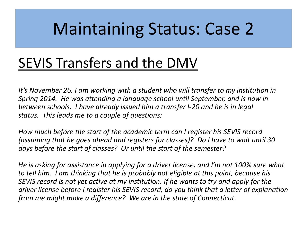# Maintaining Status: Case 2

## SEVIS Transfers and the DMV

*It's November 26. I am working with a student who will transfer to my institution in Spring 2014. He was attending a language school until September, and is now in between schools. I have already issued him a transfer I-20 and he is in legal status. This leads me to a couple of questions:*

*How much before the start of the academic term can I register his SEVIS record (assuming that he goes ahead and registers for classes)? Do I have to wait until 30 days before the start of classes? Or until the start of the semester?*

*He is asking for assistance in applying for a driver license, and I'm not 100% sure what to tell him. I am thinking that he is probably not eligible at this point, because his SEVIS record is not yet active at my institution. If he wants to try and apply for the driver license before I register his SEVIS record, do you think that a letter of explanation from me might make a difference? We are in the state of Connecticut.*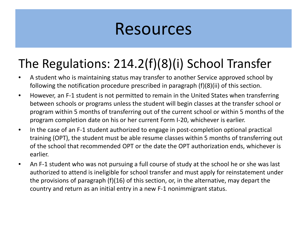### The Regulations: 214.2(f)(8)(i) School Transfer

- A student who is maintaining status may transfer to another Service approved school by following the notification procedure prescribed in paragraph (f)(8)(ii) of this section.
- However, an F-1 student is not permitted to remain in the United States when transferring between schools or programs unless the student will begin classes at the transfer school or program within 5 months of transferring out of the current school or within 5 months of the program completion date on his or her current Form I-20, whichever is earlier.
- In the case of an F-1 student authorized to engage in post-completion optional practical training (OPT), the student must be able resume classes within 5 months of transferring out of the school that recommended OPT or the date the OPT authorization ends, whichever is earlier.
- An F-1 student who was not pursuing a full course of study at the school he or she was last authorized to attend is ineligible for school transfer and must apply for reinstatement under the provisions of paragraph (f)(16) of this section, or, in the alternative, may depart the country and return as an initial entry in a new F-1 nonimmigrant status.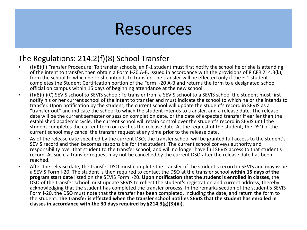#### The Regulations: 214.2(f)(8) School Transfer

- (f)(8)(ii) Transfer Procedure: To transfer schools, an F-1 student must first notify the school he or she is attending of the intent to transfer, then obtain a Form I-20 A-B, issued in accordance with the provisions of 8 CFR 214.3(k), from the school to which he or she intends to transfer. The transfer will be effected only if the F-1 student completes the Student Certification portion of the Form I-20 A-B and returns the form to a designated school official on campus within 15 days of beginning attendance at the new school.
- (f)(8)(ii)(C) SEVIS school to SEVIS school: To transfer from a SEVIS school to a SEVIS school the student must first notify his or her current school of the intent to transfer and must indicate the school to which he or she intends to transfer. Upon notification by the student, the current school will update the student's record in SEVIS as a "transfer out" and indicate the school to which the student intends to transfer, and a release date. The release date will be the current semester or session completion date, or the date of expected transfer if earlier than the established academic cycle. The current school will retain control over the student's record in SEVIS until the student completes the current term or reaches the release date. At the request of the student, the DSO of the current school may cancel the transfer request at any time prior to the release date.
- As of the release date specified by the current DSO, the transfer school will be granted full access to the student's SEVIS record and then becomes responsible for that student. The current school conveys authority and responsibility over that student to the transfer school, and will no longer have full SEVIS access to that student's record. As such, a transfer request may not be cancelled by the current DSO after the release date has been reached.
- After the release date, the transfer DSO must complete the transfer of the student's record in SEVIS and may issue a SEVIS Form I-20. The student is then required to contact the DSO at the transfer school **within 15 days of the program start date** listed on the SEVIS Form I-20. **Upon notification that the student is enrolled in classes**, the DSO of the transfer school must update SEVIS to reflect the student's registration and current address, thereby acknowledging that the student has completed the transfer process. In the remarks section of the student's SEVIS Form I-20, the DSO must note that the transfer has been completed, including the date, and return the form to the student. **The transfer is effected when the transfer school notifies SEVIS that the student has enrolled in classes in accordance with the 30 days required by §214.3(g)(3)(iii).**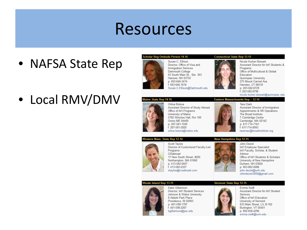- NAFSA State Rep
- Local RMV/DMV







Office of Int'l Education University of Vermont 633 Main Street, L/L B-162 Burlington, VT 05401 p: 802-656-4296 emma.swift@uvm.edu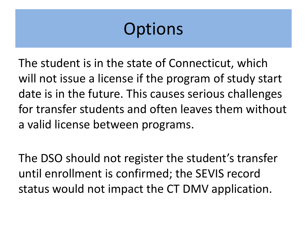The student is in the state of Connecticut, which will not issue a license if the program of study start date is in the future. This causes serious challenges for transfer students and often leaves them without a valid license between programs.

The DSO should not register the student's transfer until enrollment is confirmed; the SEVIS record status would not impact the CT DMV application.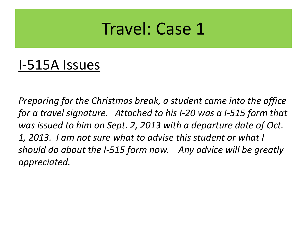## Travel: Case 1

### I-515A Issues

*Preparing for the Christmas break, a student came into the office for a travel signature. Attached to his I-20 was a I-515 form that was issued to him on Sept. 2, 2013 with a departure date of Oct. 1, 2013. I am not sure what to advise this student or what I should do about the I-515 form now. Any advice will be greatly appreciated.*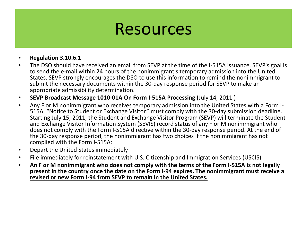- **Regulation 3.10.6.1**
- The DSO should have received an email from SEVP at the time of the I-515A issuance. SEVP's goal is to send the e-mail within 24 hours of the nonimmigrant's temporary admission into the United States. SEVP strongly encourages the DSO to use this information to remind the nonimmigrant to submit the necessary documents within the 30-day response period for SEVP to make an appropriate admissibility determination.
- **SEVP Broadcast Message 1010-01A On Form I-515A Processing (**July 14, 2011 )
- Any F or M nonimmigrant who receives temporary admission into the United States with a Form I- 515A, "Notice to Student or Exchange Visitor," must comply with the 30-day submission deadline. Starting July 15, 2011, the Student and Exchange Visitor Program (SEVP) will terminate the Student and Exchange Visitor Information System (SEVIS) record status of any F or M nonimmigrant who does not comply with the Form I-515A directive within the 30-day response period. At the end of the 30-day response period, the nonimmigrant has two choices if the nonimmigrant has not complied with the Form I-515A:
- Depart the United States immediately
- File immediately for reinstatement with U.S. Citizenship and Immigration Services (USCIS)
- **An F or M nonimmigrant who does not comply with the terms of the Form I-515A is not legally present in the country once the date on the Form I-94 expires. The nonimmigrant must receive a revised or new Form I-94 from SEVP to remain in the United States.**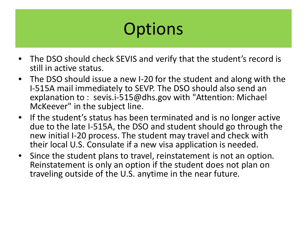- The DSO should check SEVIS and verify that the student's record is still in active status.
- The DSO should issue a new I-20 for the student and along with the I-515A mail immediately to SEVP. The DSO should also send an explanation to : sevis.i-515@dhs.gov with "Attention: Michael McKeever" in the subject line.
- If the student's status has been terminated and is no longer active due to the late I-515A, the DSO and student should go through the new initial I-20 process. The student may travel and check with their local U.S. Consulate if a new visa application is needed.
- Since the student plans to travel, reinstatement is not an option. Reinstatement is only an option if the student does not plan on traveling outside of the U.S. anytime in the near future.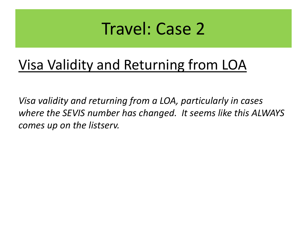## Travel: Case 2

### Visa Validity and Returning from LOA

*Visa validity and returning from a LOA, particularly in cases where the SEVIS number has changed. It seems like this ALWAYS comes up on the listserv.*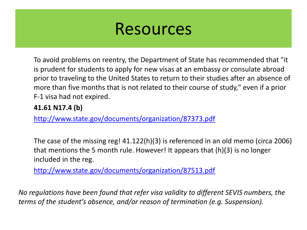To avoid problems on reentry, the Department of State has recommended that "it is prudent for students to apply for new visas at an embassy or consulate abroad prior to traveling to the United States to return to their studies after an absence of more than five months that is not related to their course of study," even if a prior F-1 visa had not expired.

#### **41.61 N17.4 (b)**

<http://www.state.gov/documents/organization/87373.pdf>

The case of the missing reg! 41.122(h)(3) is referenced in an old memo (circa 2006) that mentions the 5 month rule. However! It appears that (h)(3) is no longer included in the reg.

<http://www.state.gov/documents/organization/87513.pdf>

*No regulations have been found that refer visa validity to different SEVIS numbers, the terms of the student's absence, and/or reason of termination (e.g. Suspension).*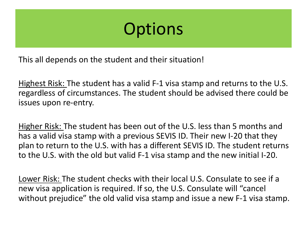This all depends on the student and their situation!

Highest Risk: The student has a valid F-1 visa stamp and returns to the U.S. regardless of circumstances. The student should be advised there could be issues upon re-entry.

Higher Risk: The student has been out of the U.S. less than 5 months and has a valid visa stamp with a previous SEVIS ID. Their new I-20 that they plan to return to the U.S. with has a different SEVIS ID. The student returns to the U.S. with the old but valid F-1 visa stamp and the new initial I-20.

Lower Risk: The student checks with their local U.S. Consulate to see if a new visa application is required. If so, the U.S. Consulate will "cancel without prejudice" the old valid visa stamp and issue a new F-1 visa stamp.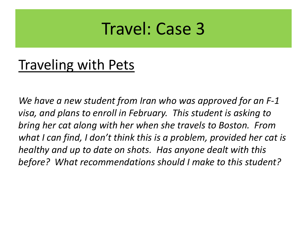## Travel: Case 3

### Traveling with Pets

*We have a new student from Iran who was approved for an F-1 visa, and plans to enroll in February. This student is asking to bring her cat along with her when she travels to Boston. From what I can find, I don't think this is a problem, provided her cat is healthy and up to date on shots. Has anyone dealt with this before? What recommendations should I make to this student?*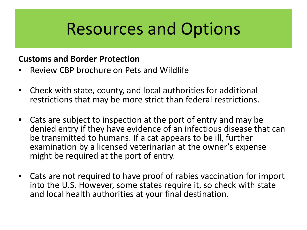# Resources and Options

#### **Customs and Border Protection**

- Review CBP brochure on Pets and Wildlife
- Check with state, county, and local authorities for additional restrictions that may be more strict than federal restrictions.
- Cats are subject to inspection at the port of entry and may be denied entry if they have evidence of an infectious disease that can be transmitted to humans. If a cat appears to be ill, further examination by a licensed veterinarian at the owner's expense might be required at the port of entry.
- Cats are not required to have proof of rabies vaccination for import into the U.S. However, some states require it, so check with state and local health authorities at your final destination.